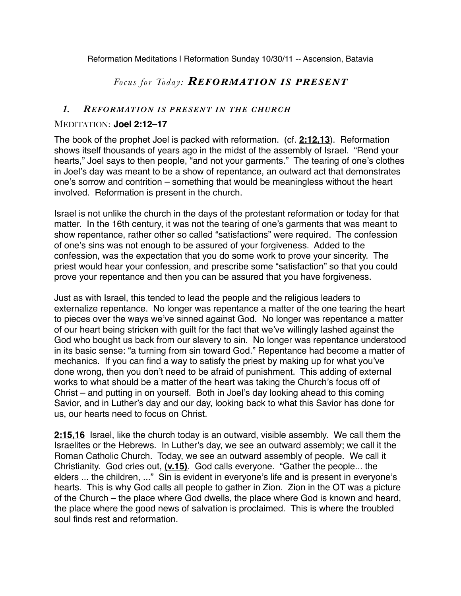# *Focus for Today: REFORMATION IS PRESENT*

#### *1. REFORMATION IS PRESENT IN THE CHURCH*

#### MEDITATION: **Joel 2:12–17**

The book of the prophet Joel is packed with reformation. (cf. **2:12,13**). Reformation shows itself thousands of years ago in the midst of the assembly of Israel. "Rend your hearts," Joel says to then people, "and not your garments." The tearing of one's clothes in Joel's day was meant to be a show of repentance, an outward act that demonstrates one's sorrow and contrition – something that would be meaningless without the heart involved. Reformation is present in the church.

Israel is not unlike the church in the days of the protestant reformation or today for that matter. In the 16th century, it was not the tearing of one's garments that was meant to show repentance, rather other so called "satisfactions" were required. The confession of one's sins was not enough to be assured of your forgiveness. Added to the confession, was the expectation that you do some work to prove your sincerity. The priest would hear your confession, and prescribe some "satisfaction" so that you could prove your repentance and then you can be assured that you have forgiveness.

Just as with Israel, this tended to lead the people and the religious leaders to externalize repentance. No longer was repentance a matter of the one tearing the heart to pieces over the ways we've sinned against God. No longer was repentance a matter of our heart being stricken with guilt for the fact that we've willingly lashed against the God who bought us back from our slavery to sin. No longer was repentance understood in its basic sense: "a turning from sin toward God." Repentance had become a matter of mechanics. If you can find a way to satisfy the priest by making up for what you've done wrong, then you don't need to be afraid of punishment. This adding of external works to what should be a matter of the heart was taking the Church's focus off of Christ – and putting in on yourself. Both in Joel's day looking ahead to this coming Savior, and in Luther's day and our day, looking back to what this Savior has done for us, our hearts need to focus on Christ.

**2:15,16** Israel, like the church today is an outward, visible assembly. We call them the Israelites or the Hebrews. In Luther's day, we see an outward assembly; we call it the Roman Catholic Church. Today, we see an outward assembly of people. We call it Christianity. God cries out, **(v.15)**. God calls everyone. "Gather the people... the elders ... the children, ..." Sin is evident in everyone's life and is present in everyone's hearts. This is why God calls all people to gather in Zion. Zion in the OT was a picture of the Church – the place where God dwells, the place where God is known and heard, the place where the good news of salvation is proclaimed. This is where the troubled soul finds rest and reformation.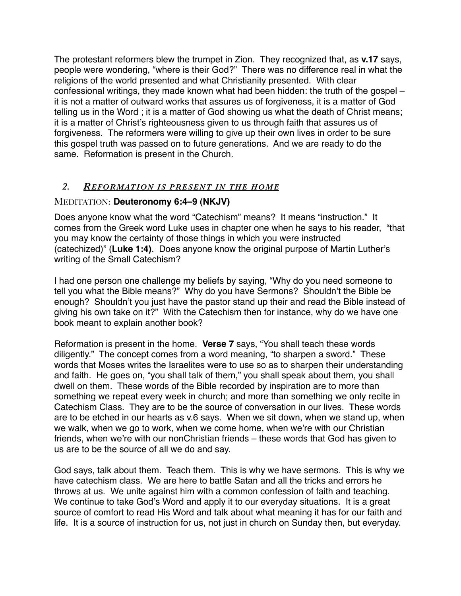The protestant reformers blew the trumpet in Zion. They recognized that, as **v.17** says, people were wondering, "where is their God?" There was no difference real in what the religions of the world presented and what Christianity presented. With clear confessional writings, they made known what had been hidden: the truth of the gospel – it is not a matter of outward works that assures us of forgiveness, it is a matter of God telling us in the Word ; it is a matter of God showing us what the death of Christ means; it is a matter of Christ's righteousness given to us through faith that assures us of forgiveness. The reformers were willing to give up their own lives in order to be sure this gospel truth was passed on to future generations. And we are ready to do the same. Reformation is present in the Church.

## *2. REFORMATION IS PRESENT IN THE HOME*

#### MEDITATION: **Deuteronomy 6:4–9 (NKJV)**

Does anyone know what the word "Catechism" means? It means "instruction." It comes from the Greek word Luke uses in chapter one when he says to his reader, "that you may know the certainty of those things in which you were instructed (catechized)" (**Luke 1:4)**. Does anyone know the original purpose of Martin Luther's writing of the Small Catechism?

I had one person one challenge my beliefs by saying, "Why do you need someone to tell you what the Bible means?" Why do you have Sermons? Shouldn't the Bible be enough? Shouldn't you just have the pastor stand up their and read the Bible instead of giving his own take on it?" With the Catechism then for instance, why do we have one book meant to explain another book?

Reformation is present in the home. **Verse 7** says, "You shall teach these words diligently." The concept comes from a word meaning, "to sharpen a sword." These words that Moses writes the Israelites were to use so as to sharpen their understanding and faith. He goes on, "you shall talk of them," you shall speak about them, you shall dwell on them. These words of the Bible recorded by inspiration are to more than something we repeat every week in church; and more than something we only recite in Catechism Class. They are to be the source of conversation in our lives. These words are to be etched in our hearts as v.6 says. When we sit down, when we stand up, when we walk, when we go to work, when we come home, when we're with our Christian friends, when we're with our nonChristian friends – these words that God has given to us are to be the source of all we do and say.

God says, talk about them. Teach them. This is why we have sermons. This is why we have catechism class. We are here to battle Satan and all the tricks and errors he throws at us. We unite against him with a common confession of faith and teaching. We continue to take God's Word and apply it to our everyday situations. It is a great source of comfort to read His Word and talk about what meaning it has for our faith and life. It is a source of instruction for us, not just in church on Sunday then, but everyday.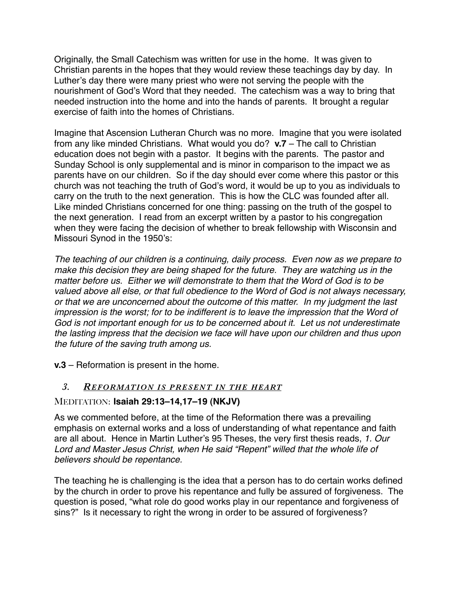Originally, the Small Catechism was written for use in the home. It was given to Christian parents in the hopes that they would review these teachings day by day. In Luther's day there were many priest who were not serving the people with the nourishment of God's Word that they needed. The catechism was a way to bring that needed instruction into the home and into the hands of parents. It brought a regular exercise of faith into the homes of Christians.

Imagine that Ascension Lutheran Church was no more. Imagine that you were isolated from any like minded Christians. What would you do? **v.7** – The call to Christian education does not begin with a pastor. It begins with the parents. The pastor and Sunday School is only supplemental and is minor in comparison to the impact we as parents have on our children. So if the day should ever come where this pastor or this church was not teaching the truth of God's word, it would be up to you as individuals to carry on the truth to the next generation. This is how the CLC was founded after all. Like minded Christians concerned for one thing: passing on the truth of the gospel to the next generation. I read from an excerpt written by a pastor to his congregation when they were facing the decision of whether to break fellowship with Wisconsin and Missouri Synod in the 1950's:

*The teaching of our children is a continuing, daily process. Even now as we prepare to make this decision they are being shaped for the future. They are watching us in the matter before us. Either we will demonstrate to them that the Word of God is to be valued above all else, or that full obedience to the Word of God is not always necessary, or that we are unconcerned about the outcome of this matter. In my judgment the last impression is the worst; for to be indifferent is to leave the impression that the Word of God is not important enough for us to be concerned about it. Let us not underestimate the lasting impress that the decision we face will have upon our children and thus upon the future of the saving truth among us.*

**v.3** – Reformation is present in the home.

## *3. REFORMATION IS PRESENT IN THE HEART*

## MEDITATION: **Isaiah 29:13–14,17–19 (NKJV)**

As we commented before, at the time of the Reformation there was a prevailing emphasis on external works and a loss of understanding of what repentance and faith are all about. Hence in Martin Luther's 95 Theses, the very first thesis reads, *1. Our Lord and Master Jesus Christ, when He said "Repent" willed that the whole life of believers should be repentance.* 

The teaching he is challenging is the idea that a person has to do certain works defined by the church in order to prove his repentance and fully be assured of forgiveness. The question is posed, "what role do good works play in our repentance and forgiveness of sins?" Is it necessary to right the wrong in order to be assured of forgiveness?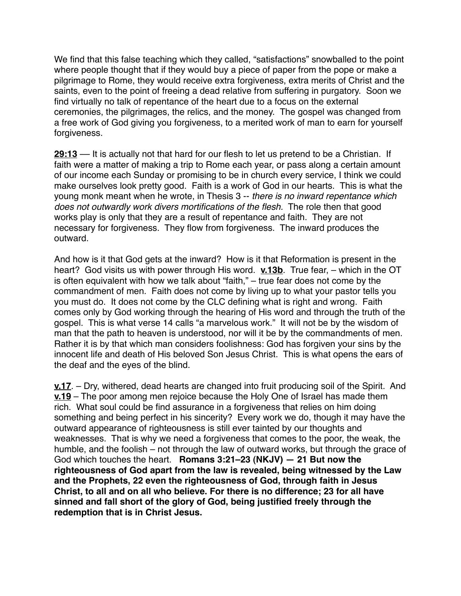We find that this false teaching which they called, "satisfactions" snowballed to the point where people thought that if they would buy a piece of paper from the pope or make a pilgrimage to Rome, they would receive extra forgiveness, extra merits of Christ and the saints, even to the point of freeing a dead relative from suffering in purgatory. Soon we find virtually no talk of repentance of the heart due to a focus on the external ceremonies, the pilgrimages, the relics, and the money. The gospel was changed from a free work of God giving you forgiveness, to a merited work of man to earn for yourself forgiveness.

29:13 –– It is actually not that hard for our flesh to let us pretend to be a Christian. If faith were a matter of making a trip to Rome each year, or pass along a certain amount of our income each Sunday or promising to be in church every service, I think we could make ourselves look pretty good. Faith is a work of God in our hearts. This is what the young monk meant when he wrote, in Thesis 3 -- *there is no inward repentance which does not outwardly work divers mortifications of the flesh.* The role then that good works play is only that they are a result of repentance and faith. They are not necessary for forgiveness. They flow from forgiveness. The inward produces the outward.

And how is it that God gets at the inward? How is it that Reformation is present in the heart? God visits us with power through His word. **v.13b**. True fear, – which in the OT is often equivalent with how we talk about "faith," – true fear does not come by the commandment of men. Faith does not come by living up to what your pastor tells you you must do. It does not come by the CLC defining what is right and wrong. Faith comes only by God working through the hearing of His word and through the truth of the gospel. This is what verse 14 calls "a marvelous work." It will not be by the wisdom of man that the path to heaven is understood, nor will it be by the commandments of men. Rather it is by that which man considers foolishness: God has forgiven your sins by the innocent life and death of His beloved Son Jesus Christ. This is what opens the ears of the deaf and the eyes of the blind.

**v.17**. – Dry, withered, dead hearts are changed into fruit producing soil of the Spirit. And **v.19** – The poor among men rejoice because the Holy One of Israel has made them rich. What soul could be find assurance in a forgiveness that relies on him doing something and being perfect in his sincerity? Every work we do, though it may have the outward appearance of righteousness is still ever tainted by our thoughts and weaknesses. That is why we need a forgiveness that comes to the poor, the weak, the humble, and the foolish – not through the law of outward works, but through the grace of God which touches the heart. **Romans 3:21–23 (NKJV) — 21 But now the righteousness of God apart from the law is revealed, being witnessed by the Law and the Prophets, 22 even the righteousness of God, through faith in Jesus Christ, to all and on all who believe. For there is no difference; 23 for all have sinned and fall short of the glory of God, being justified freely through the redemption that is in Christ Jesus.**